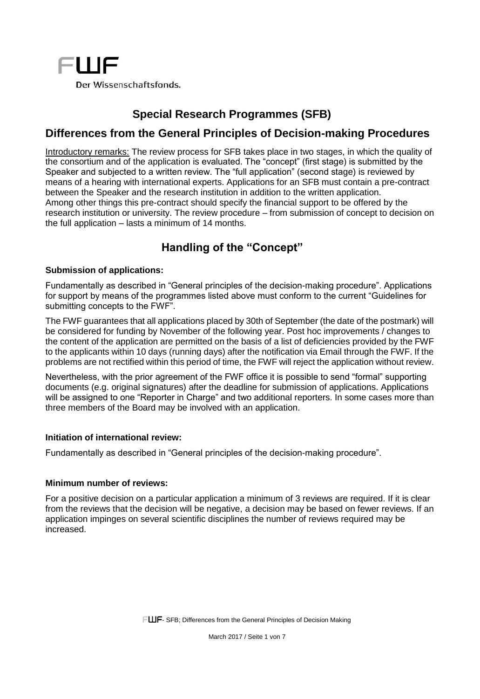

# **Special Research Programmes (SFB)**

# **Differences from the General Principles of Decision-making Procedures**

Introductory remarks: The review process for SFB takes place in two stages, in which the quality of the consortium and of the application is evaluated. The "concept" (first stage) is submitted by the Speaker and subjected to a written review. The "full application" (second stage) is reviewed by means of a hearing with international experts. Applications for an SFB must contain a pre-contract between the Speaker and the research institution in addition to the written application. Among other things this pre-contract should specify the financial support to be offered by the research institution or university. The review procedure – from submission of concept to decision on the full application – lasts a minimum of 14 months.

# **Handling of the "Concept"**

# **Submission of applications:**

Fundamentally as described in "General principles of the decision-making procedure". Applications for support by means of the programmes listed above must conform to the current "Guidelines for submitting concepts to the FWF".

The FWF guarantees that all applications placed by 30th of September (the date of the postmark) will be considered for funding by November of the following year. Post hoc improvements / changes to the content of the application are permitted on the basis of a list of deficiencies provided by the FWF to the applicants within 10 days (running days) after the notification via Email through the FWF. If the problems are not rectified within this period of time, the FWF will reject the application without review.

Nevertheless, with the prior agreement of the FWF office it is possible to send "formal" supporting documents (e.g. original signatures) after the deadline for submission of applications. Applications will be assigned to one "Reporter in Charge" and two additional reporters. In some cases more than three members of the Board may be involved with an application.

# **Initiation of international review:**

Fundamentally as described in "General principles of the decision-making procedure".

# **Minimum number of reviews:**

For a positive decision on a particular application a minimum of 3 reviews are required. If it is clear from the reviews that the decision will be negative, a decision may be based on fewer reviews. If an application impinges on several scientific disciplines the number of reviews required may be increased.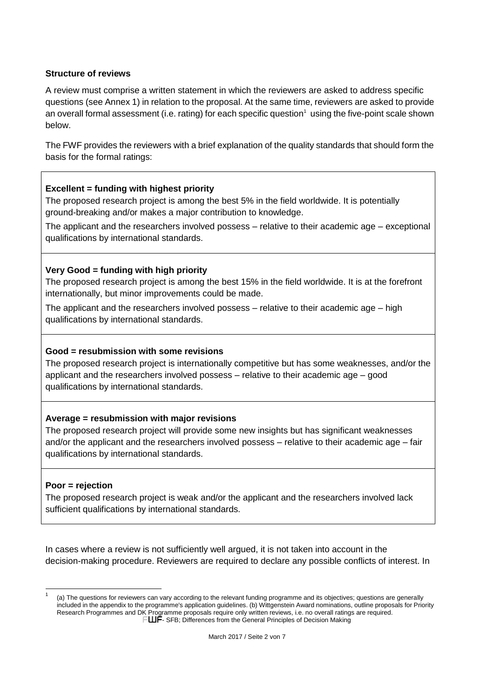# **Structure of reviews**

A review must comprise a written statement in which the reviewers are asked to address specific questions (see Annex 1) in relation to the proposal. At the same time, reviewers are asked to provide an overall formal assessment (i.e. rating) for each specific question<sup>1</sup> using the five-point scale shown below.

The FWF provides the reviewers with a brief explanation of the quality standards that should form the basis for the formal ratings:

# **Excellent = funding with highest priority**

The proposed research project is among the best 5% in the field worldwide. It is potentially ground-breaking and/or makes a major contribution to knowledge.

The applicant and the researchers involved possess – relative to their academic age – exceptional qualifications by international standards.

# **Very Good = funding with high priority**

The proposed research project is among the best 15% in the field worldwide. It is at the forefront internationally, but minor improvements could be made.

The applicant and the researchers involved possess – relative to their academic age – high qualifications by international standards.

# **Good = resubmission with some revisions**

The proposed research project is internationally competitive but has some weaknesses, and/or the applicant and the researchers involved possess – relative to their academic age – good qualifications by international standards.

# **Average = resubmission with major revisions**

The proposed research project will provide some new insights but has significant weaknesses and/or the applicant and the researchers involved possess – relative to their academic age – fair qualifications by international standards.

# **Poor = rejection**

 $\overline{\phantom{a}}$ 

The proposed research project is weak and/or the applicant and the researchers involved lack sufficient qualifications by international standards.

In cases where a review is not sufficiently well argued, it is not taken into account in the decision-making procedure. Reviewers are required to declare any possible conflicts of interest. In

<sup>-</sup> SFB; Differences from the General Principles of Decision Making 1 (a) The questions for reviewers can vary according to the relevant funding programme and its objectives; questions are generally included in the appendix to the programme's application guidelines. (b) Wittgenstein Award nominations, outline proposals for Priority Research Programmes and DK Programme proposals require only written reviews, i.e. no overall ratings are required.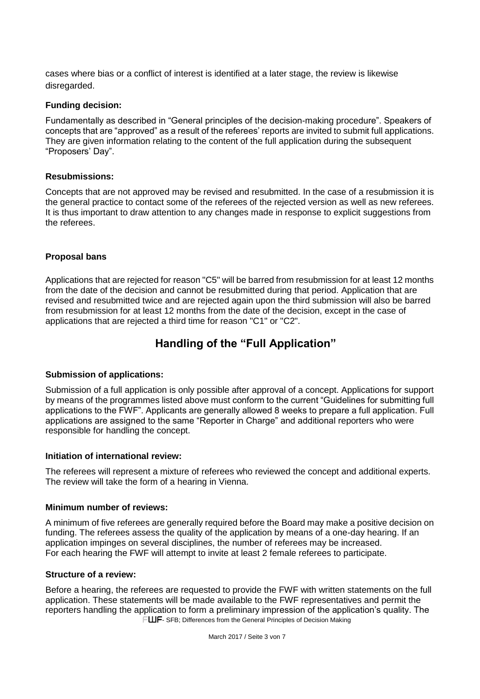cases where bias or a conflict of interest is identified at a later stage, the review is likewise disregarded.

### **Funding decision:**

Fundamentally as described in "General principles of the decision-making procedure". Speakers of concepts that are "approved" as a result of the referees' reports are invited to submit full applications. They are given information relating to the content of the full application during the subsequent "Proposers' Day".

### **Resubmissions:**

Concepts that are not approved may be revised and resubmitted. In the case of a resubmission it is the general practice to contact some of the referees of the rejected version as well as new referees. It is thus important to draw attention to any changes made in response to explicit suggestions from the referees.

# **Proposal bans**

Applications that are rejected for reason "C5" will be barred from resubmission for at least 12 months from the date of the decision and cannot be resubmitted during that period. Application that are revised and resubmitted twice and are rejected again upon the third submission will also be barred from resubmission for at least 12 months from the date of the decision, except in the case of applications that are rejected a third time for reason "C1" or "C2".

# **Handling of the "Full Application"**

# **Submission of applications:**

Submission of a full application is only possible after approval of a concept. Applications for support by means of the programmes listed above must conform to the current "Guidelines for submitting full applications to the FWF". Applicants are generally allowed 8 weeks to prepare a full application. Full applications are assigned to the same "Reporter in Charge" and additional reporters who were responsible for handling the concept.

# **Initiation of international review:**

The referees will represent a mixture of referees who reviewed the concept and additional experts. The review will take the form of a hearing in Vienna.

### **Minimum number of reviews:**

A minimum of five referees are generally required before the Board may make a positive decision on funding. The referees assess the quality of the application by means of a one-day hearing. If an application impinges on several disciplines, the number of referees may be increased. For each hearing the FWF will attempt to invite at least 2 female referees to participate.

### **Structure of a review:**

FUIF- SFB; Differences from the General Principles of Decision Making Before a hearing, the referees are requested to provide the FWF with written statements on the full application. These statements will be made available to the FWF representatives and permit the reporters handling the application to form a preliminary impression of the application's quality. The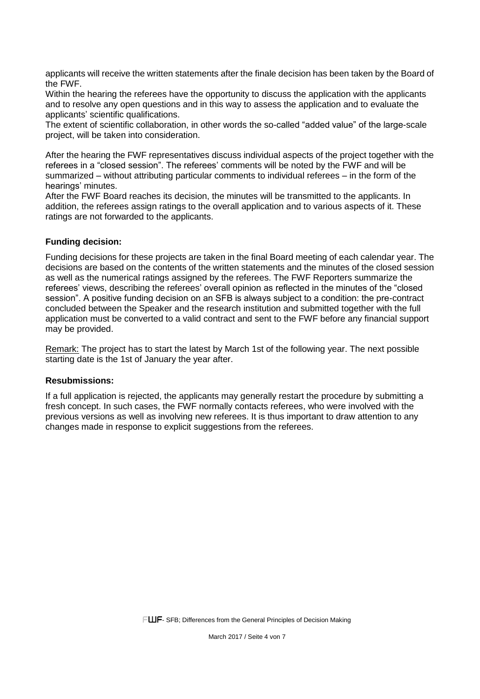applicants will receive the written statements after the finale decision has been taken by the Board of the FWF.

Within the hearing the referees have the opportunity to discuss the application with the applicants and to resolve any open questions and in this way to assess the application and to evaluate the applicants' scientific qualifications.

The extent of scientific collaboration, in other words the so-called "added value" of the large-scale project, will be taken into consideration.

After the hearing the FWF representatives discuss individual aspects of the project together with the referees in a "closed session". The referees' comments will be noted by the FWF and will be summarized – without attributing particular comments to individual referees – in the form of the hearings' minutes.

After the FWF Board reaches its decision, the minutes will be transmitted to the applicants. In addition, the referees assign ratings to the overall application and to various aspects of it. These ratings are not forwarded to the applicants.

### **Funding decision:**

Funding decisions for these projects are taken in the final Board meeting of each calendar year. The decisions are based on the contents of the written statements and the minutes of the closed session as well as the numerical ratings assigned by the referees. The FWF Reporters summarize the referees' views, describing the referees' overall opinion as reflected in the minutes of the "closed session". A positive funding decision on an SFB is always subject to a condition: the pre-contract concluded between the Speaker and the research institution and submitted together with the full application must be converted to a valid contract and sent to the FWF before any financial support may be provided.

Remark: The project has to start the latest by March 1st of the following year. The next possible starting date is the 1st of January the year after.

### **Resubmissions:**

If a full application is rejected, the applicants may generally restart the procedure by submitting a fresh concept. In such cases, the FWF normally contacts referees, who were involved with the previous versions as well as involving new referees. It is thus important to draw attention to any changes made in response to explicit suggestions from the referees.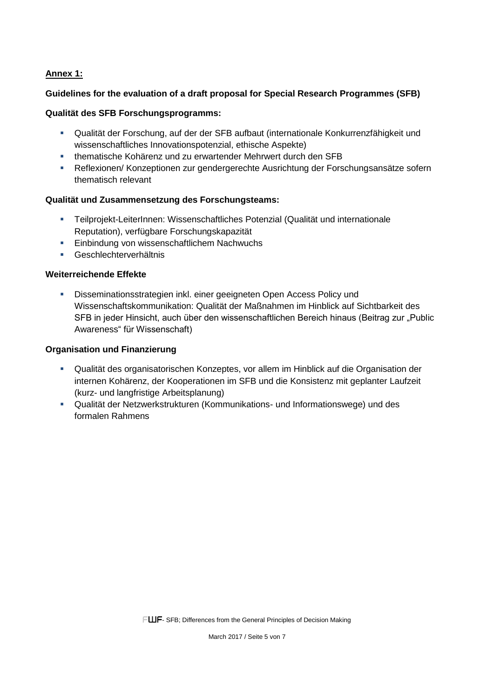# **Annex 1:**

# **Guidelines for the evaluation of a draft proposal for Special Research Programmes (SFB)**

# **Qualität des SFB Forschungsprogramms:**

- Qualität der Forschung, auf der der SFB aufbaut (internationale Konkurrenzfähigkeit und wissenschaftliches Innovationspotenzial, ethische Aspekte)
- thematische Kohärenz und zu erwartender Mehrwert durch den SFB
- Reflexionen/ Konzeptionen zur gendergerechte Ausrichtung der Forschungsansätze sofern thematisch relevant

# **Qualität und Zusammensetzung des Forschungsteams:**

- Teilprojekt-LeiterInnen: Wissenschaftliches Potenzial (Qualität und internationale Reputation), verfügbare Forschungskapazität
- **Einbindung von wissenschaftlichem Nachwuchs**
- **Geschlechterverhältnis**

# **Weiterreichende Effekte**

 Disseminationsstrategien inkl. einer geeigneten Open Access Policy und Wissenschaftskommunikation: Qualität der Maßnahmen im Hinblick auf Sichtbarkeit des SFB in jeder Hinsicht, auch über den wissenschaftlichen Bereich hinaus (Beitrag zur "Public Awareness" für Wissenschaft)

### **Organisation und Finanzierung**

- Qualität des organisatorischen Konzeptes, vor allem im Hinblick auf die Organisation der internen Kohärenz, der Kooperationen im SFB und die Konsistenz mit geplanter Laufzeit (kurz- und langfristige Arbeitsplanung)
- Qualität der Netzwerkstrukturen (Kommunikations- und Informationswege) und des formalen Rahmens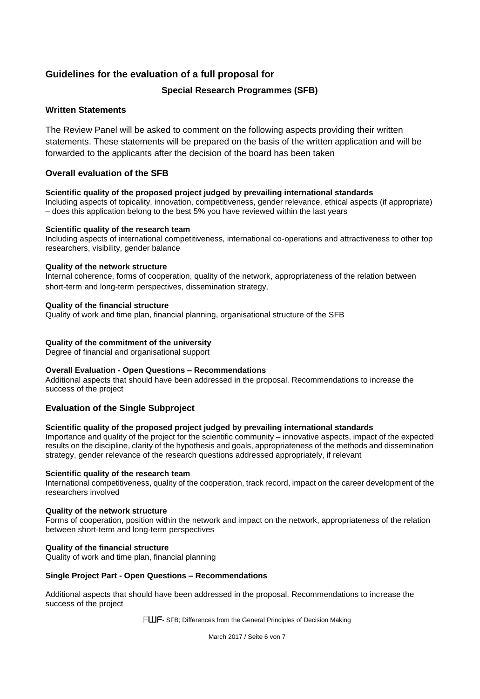# **Guidelines for the evaluation of a full proposal for**

# **Special Research Programmes (SFB)**

### **Written Statements**

The Review Panel will be asked to comment on the following aspects providing their written statements. These statements will be prepared on the basis of the written application and will be forwarded to the applicants after the decision of the board has been taken

#### **Overall evaluation of the SFB**

#### **Scientific quality of the proposed project judged by prevailing international standards**

Including aspects of topicality, innovation, competitiveness, gender relevance, ethical aspects (if appropriate) – does this application belong to the best 5% you have reviewed within the last years

#### **Scientific quality of the research team**

Including aspects of international competitiveness, international co-operations and attractiveness to other top researchers, visibility, gender balance

#### **Quality of the network structure**

Internal coherence, forms of cooperation, quality of the network, appropriateness of the relation between short-term and long-term perspectives, dissemination strategy,

#### **Quality of the financial structure**

Quality of work and time plan, financial planning, organisational structure of the SFB

#### **Quality of the commitment of the university**

Degree of financial and organisational support

#### **Overall Evaluation - Open Questions – Recommendations**

Additional aspects that should have been addressed in the proposal. Recommendations to increase the success of the project

#### **Evaluation of the Single Subproject**

#### **Scientific quality of the proposed project judged by prevailing international standards**

Importance and quality of the project for the scientific community – innovative aspects, impact of the expected results on the discipline, clarity of the hypothesis and goals, appropriateness of the methods and dissemination strategy, gender relevance of the research questions addressed appropriately, if relevant

#### **Scientific quality of the research team**

International competitiveness, quality of the cooperation, track record, impact on the career development of the researchers involved

#### **Quality of the network structure**

Forms of cooperation, position within the network and impact on the network, appropriateness of the relation between short-term and long-term perspectives

#### **Quality of the financial structure**

Quality of work and time plan, financial planning

#### **Single Project Part - Open Questions – Recommendations**

Additional aspects that should have been addressed in the proposal. Recommendations to increase the success of the project

FUIF-SFB; Differences from the General Principles of Decision Making

March 2017 / Seite 6 von 7